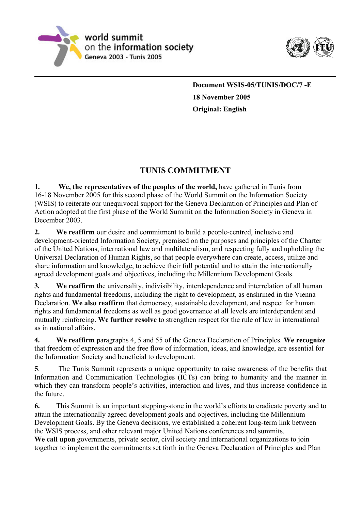



**Document WSIS-05/TUNIS/DOC/7 -E 18 November 2005 Original: English** 

## **TUNIS COMMITMENT**

**1. We, the representatives of the peoples of the world,** have gathered in Tunis from 16-18 November 2005 for this second phase of the World Summit on the Information Society (WSIS) to reiterate our unequivocal support for the Geneva Declaration of Principles and Plan of Action adopted at the first phase of the World Summit on the Information Society in Geneva in December 2003.

**2. We reaffirm** our desire and commitment to build a people-centred, inclusive and development-oriented Information Society, premised on the purposes and principles of the Charter of the United Nations, international law and multilateralism, and respecting fully and upholding the Universal Declaration of Human Rights, so that people everywhere can create, access, utilize and share information and knowledge, to achieve their full potential and to attain the internationally agreed development goals and objectives, including the Millennium Development Goals.

**3***.* **We reaffirm** the universality, indivisibility, interdependence and interrelation of all human rights and fundamental freedoms, including the right to development, as enshrined in the Vienna Declaration. We also reaffirm that democracy, sustainable development, and respect for human rights and fundamental freedoms as well as good governance at all levels are interdependent and mutually reinforcing. **We further resolve** to strengthen respect for the rule of law in international as in national affairs.

**4. We reaffirm** paragraphs 4, 5 and 55 of the Geneva Declaration of Principles. **We recognize** that freedom of expression and the free flow of information, ideas, and knowledge, are essential for the Information Society and beneficial to development.

**5**. The Tunis Summit represents a unique opportunity to raise awareness of the benefits that Information and Communication Technologies (ICTs) can bring to humanity and the manner in which they can transform people's activities, interaction and lives, and thus increase confidence in the future.

**6.** This Summit is an important stepping-stone in the world's efforts to eradicate poverty and to attain the internationally agreed development goals and objectives, including the Millennium Development Goals. By the Geneva decisions, we established a coherent long-term link between the WSIS process, and other relevant major United Nations conferences and summits.

We call upon governments, private sector, civil society and international organizations to join together to implement the commitments set forth in the Geneva Declaration of Principles and Plan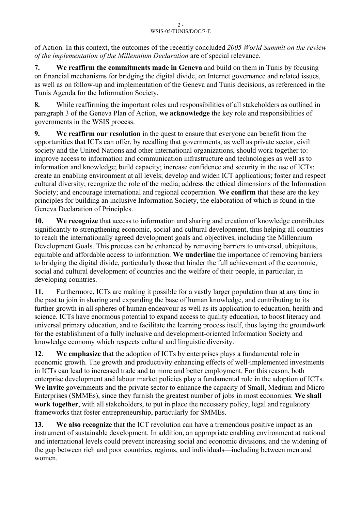of Action. In this context, the outcomes of the recently concluded *2005 World Summit on the review of the implementation of the Millennium Declaration* are of special relevance.

**7. We reaffirm the commitments made in Geneva** and build on them in Tunis by focusing on financial mechanisms for bridging the digital divide, on Internet governance and related issues, as well as on follow-up and implementation of the Geneva and Tunis decisions, as referenced in the Tunis Agenda for the Information Society.

**8.** While reaffirming the important roles and responsibilities of all stakeholders as outlined in paragraph 3 of the Geneva Plan of Action, **we acknowledge** the key role and responsibilities of governments in the WSIS process.

**9. We reaffirm our resolution** in the quest to ensure that everyone can benefit from the opportunities that ICTs can offer, by recalling that governments, as well as private sector, civil society and the United Nations and other international organizations, should work together to: improve access to information and communication infrastructure and technologies as well as to information and knowledge; build capacity; increase confidence and security in the use of ICTs; create an enabling environment at all levels; develop and widen ICT applications; foster and respect cultural diversity; recognize the role of the media; address the ethical dimensions of the Information Society; and encourage international and regional cooperation. **We confirm** that these are the key principles for building an inclusive Information Society, the elaboration of which is found in the Geneva Declaration of Principles.

**10. We recognize** that access to information and sharing and creation of knowledge contributes significantly to strengthening economic, social and cultural development, thus helping all countries to reach the internationally agreed development goals and objectives, including the Millennium Development Goals. This process can be enhanced by removing barriers to universal, ubiquitous, equitable and affordable access to information. **We underline** the importance of removing barriers to bridging the digital divide, particularly those that hinder the full achievement of the economic, social and cultural development of countries and the welfare of their people, in particular, in developing countries.

**11.** Furthermore, ICTs are making it possible for a vastly larger population than at any time in the past to join in sharing and expanding the base of human knowledge, and contributing to its further growth in all spheres of human endeavour as well as its application to education, health and science. ICTs have enormous potential to expand access to quality education, to boost literacy and universal primary education, and to facilitate the learning process itself, thus laying the groundwork for the establishment of a fully inclusive and development-oriented Information Society and knowledge economy which respects cultural and linguistic diversity.

**12**. **We emphasize** that the adoption of ICTs by enterprises plays a fundamental role in economic growth. The growth and productivity enhancing effects of well-implemented investments in ICTs can lead to increased trade and to more and better employment. For this reason, both enterprise development and labour market policies play a fundamental role in the adoption of ICTs. **We invite** governments and the private sector to enhance the capacity of Small, Medium and Micro Enterprises (SMMEs), since they furnish the greatest number of jobs in most economies. **We shall work together**, with all stakeholders, to put in place the necessary policy, legal and regulatory frameworks that foster entrepreneurship, particularly for SMMEs.

**13. We also recognize** that the ICT revolution can have a tremendous positive impact as an instrument of sustainable development. In addition, an appropriate enabling environment at national and international levels could prevent increasing social and economic divisions, and the widening of the gap between rich and poor countries, regions, and individuals—including between men and women.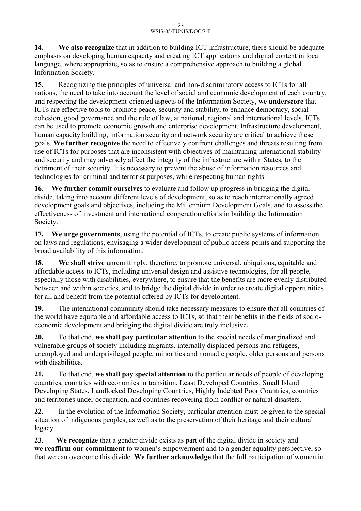**14**. **We also recognize** that in addition to building ICT infrastructure, there should be adequate emphasis on developing human capacity and creating ICT applications and digital content in local language, where appropriate, so as to ensure a comprehensive approach to building a global Information Society.

**15**. Recognizing the principles of universal and non-discriminatory access to ICTs for all nations, the need to take into account the level of social and economic development of each country, and respecting the development-oriented aspects of the Information Society, **we underscore** that ICTs are effective tools to promote peace, security and stability, to enhance democracy, social cohesion, good governance and the rule of law, at national, regional and international levels. ICTs can be used to promote economic growth and enterprise development. Infrastructure development, human capacity building, information security and network security are critical to achieve these goals. **We further recognize** the need to effectively confront challenges and threats resulting from use of ICTs for purposes that are inconsistent with objectives of maintaining international stability and security and may adversely affect the integrity of the infrastructure within States, to the detriment of their security. It is necessary to prevent the abuse of information resources and technologies for criminal and terrorist purposes, while respecting human rights.

**16**. **We further commit ourselves** to evaluate and follow up progress in bridging the digital divide, taking into account different levels of development, so as to reach internationally agreed development goals and objectives, including the Millennium Development Goals, and to assess the effectiveness of investment and international cooperation efforts in building the Information Society.

**17. We urge governments**, using the potential of ICTs, to create public systems of information on laws and regulations, envisaging a wider development of public access points and supporting the broad availability of this information.

**18. We shall strive** unremittingly, therefore, to promote universal, ubiquitous, equitable and affordable access to ICTs, including universal design and assistive technologies, for all people, especially those with disabilities, everywhere, to ensure that the benefits are more evenly distributed between and within societies, and to bridge the digital divide in order to create digital opportunities for all and benefit from the potential offered by ICTs for development.

**19.** The international community should take necessary measures to ensure that all countries of the world have equitable and affordable access to ICTs, so that their benefits in the fields of socioeconomic development and bridging the digital divide are truly inclusive*.* 

**20.** To that end, **we shall pay particular attention** to the special needs of marginalized and vulnerable groups of society including migrants, internally displaced persons and refugees, unemployed and underprivileged people, minorities and nomadic people, older persons and persons with disabilities.

**21.** To that end, **we shall pay special attention** to the particular needs of people of developing countries, countries with economies in transition, Least Developed Countries, Small Island Developing States, Landlocked Developing Countries, Highly Indebted Poor Countries, countries and territories under occupation, and countries recovering from conflict or natural disasters.

**22.** In the evolution of the Information Society, particular attention must be given to the special situation of indigenous peoples, as well as to the preservation of their heritage and their cultural legacy.

**23. We recognize** that a gender divide exists as part of the digital divide in society and **we reaffirm our commitment** to women's empowerment and to a gender equality perspective, so that we can overcome this divide. **We further acknowledge** that the full participation of women in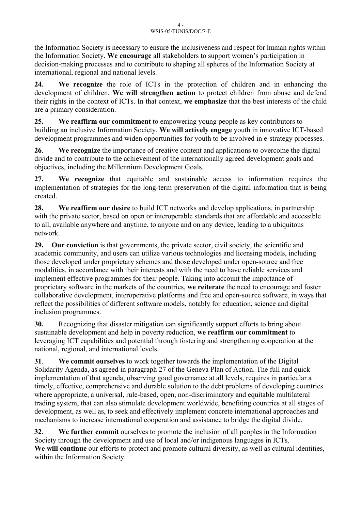the Information Society is necessary to ensure the inclusiveness and respect for human rights within the Information Society. **We encourage** all stakeholders to support women's participation in decision-making processes and to contribute to shaping all spheres of the Information Society at international, regional and national levels.

**24***.* **We recognize** the role of ICTs in the protection of children and in enhancing the development of children. **We will strengthen action** to protect children from abuse and defend their rights in the context of ICTs. In that context, **we emphasize** that the best interests of the child are a primary consideration.

**25. We reaffirm our commitment** to empowering young people as key contributors to building an inclusive Information Society. **We will actively engage** youth in innovative ICT-based development programmes and widen opportunities for youth to be involved in e-strategy processes.

**26**. **We recognize** the importance of creative content and applications to overcome the digital divide and to contribute to the achievement of the internationally agreed development goals and objectives, including the Millennium Development Goals.

**27. We recognize** that equitable and sustainable access to information requires the implementation of strategies for the long-term preservation of the digital information that is being created.

**28. We reaffirm our desire** to build ICT networks and develop applications, in partnership with the private sector, based on open or interoperable standards that are affordable and accessible to all, available anywhere and anytime, to anyone and on any device, leading to a ubiquitous network.

**29. Our conviction** is that governments, the private sector, civil society, the scientific and academic community, and users can utilize various technologies and licensing models, including those developed under proprietary schemes and those developed under open-source and free modalities, in accordance with their interests and with the need to have reliable services and implement effective programmes for their people. Taking into account the importance of proprietary software in the markets of the countries, **we reiterate** the need to encourage and foster collaborative development, interoperative platforms and free and open-source software, in ways that reflect the possibilities of different software models, notably for education, science and digital inclusion programmes.

**30***.* Recognizing that disaster mitigation can significantly support efforts to bring about sustainable development and help in poverty reduction, **we reaffirm our commitment** to leveraging ICT capabilities and potential through fostering and strengthening cooperation at the national, regional, and international levels.

**31**. **We commit ourselves** to work together towards the implementation of the Digital Solidarity Agenda, as agreed in paragraph 27 of the Geneva Plan of Action. The full and quick implementation of that agenda, observing good governance at all levels, requires in particular a timely, effective, comprehensive and durable solution to the debt problems of developing countries where appropriate, a universal, rule-based, open, non-discriminatory and equitable multilateral trading system, that can also stimulate development worldwide, benefiting countries at all stages of development, as well as, to seek and effectively implement concrete international approaches and mechanisms to increase international cooperation and assistance to bridge the digital divide.

**32**. **We further commit** ourselves to promote the inclusion of all peoples in the Information Society through the development and use of local and/or indigenous languages in ICTs. We will continue our efforts to protect and promote cultural diversity, as well as cultural identities, within the Information Society.